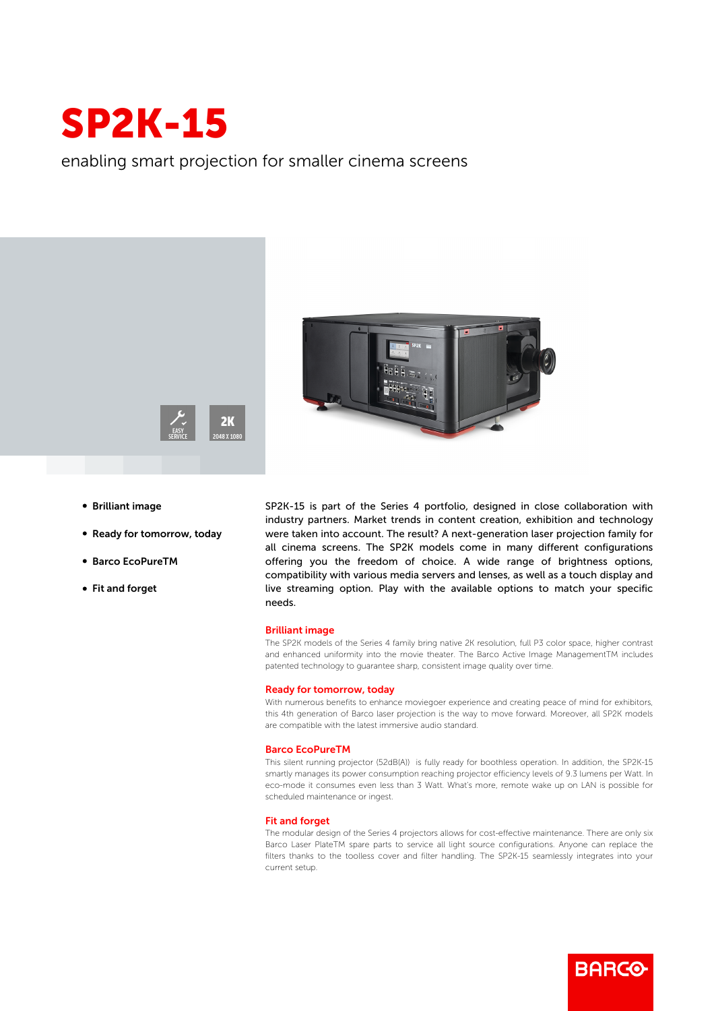

enabling smart projection for smaller cinema screens





- **Brilliant image**
- Ready for tomorrow, today
- b Barco EcoPureTM
- Fit and forget

SP2K-15 is part of the Series 4 portfolio, designed in close collaboration with industry partners. Market trends in content creation, exhibition and technology were taken into account. The result? A next-generation laser projection family for all cinema screens. The SP2K models come in many different configurations offering you the freedom of choice. A wide range of brightness options, compatibility with various media servers and lenses, as well as a touch display and live streaming option. Play with the available options to match your specific needs.

## Brilliant image

The SP2K models of the Series 4 family bring native 2K resolution, full P3 color space, higher contrast and enhanced uniformity into the movie theater. The Barco Active Image ManagementTM includes patented technology to guarantee sharp, consistent image quality over time.

#### Ready for tomorrow, today

With numerous benefits to enhance moviegoer experience and creating peace of mind for exhibitors, this 4th generation of Barco laser projection is the way to move forward. Moreover, all SP2K models are compatible with the latest immersive audio standard.

#### Barco EcoPureTM

This silent running projector (52dB(A)) is fully ready for boothless operation. In addition, the SP2K-15 smartly manages its power consumption reaching projector efficiency levels of 9.3 lumens per Watt. In eco-mode it consumes even less than 3 Watt. What's more, remote wake up on LAN is possible for scheduled maintenance or ingest.

### Fit and forget

The modular design of the Series 4 projectors allows for cost-effective maintenance. There are only six Barco Laser PlateTM spare parts to service all light source configurations. Anyone can replace the filters thanks to the toolless cover and filter handling. The SP2K-15 seamlessly integrates into your current setup.

**BARGO**